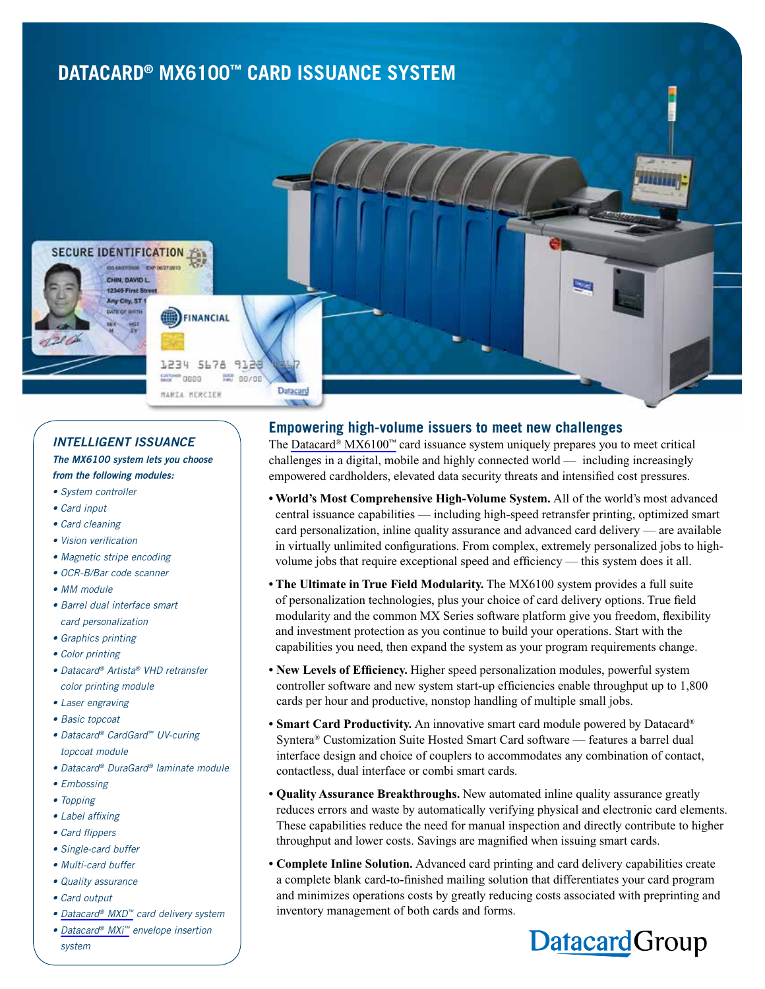# **DATACARD® MX6100™ CARD ISSUANCE SYSTEM**



#### *INTELLIGENT ISSUANCE*

*The MX6100 system lets you choose* 

### *from the following modules:*

- *System controller*
- *Card input*
- *Card cleaning*
- *Vision verification*
- *Magnetic stripe encoding*
- *OCR-B/Bar code scanner*
- *MM module*
- *Barrel dual interface smart card personalization*
- *Graphics printing*
- *Color printing*
- *Datacard® Artista® VHD retransfer color printing module*
- *Laser engraving*
- *Basic topcoat*
- *Datacard® CardGard™ UV-curing topcoat module*
- *Datacard® DuraGard® laminate module*
- *Embossing*
- *Topping*
- *Label affixing*
- *Card flippers*
- *Single-card buffer*
- *Multi-card buffer*
- *Quality assurance*
- *Card output*
- *• [Datacard® MXD™](http://www.datacard.com/credit-card-delivery/mxd) card delivery system*

#### *• [Datacard® MXi™](http://www.datacard.com/card-delivery/mxi) envelope insertion*

*system*

### **Empowering high-volume issuers to meet new challenges**

The Datacard<sup>®</sup> MX6100<sup>™</sup> card issuance system uniquely prepares you to meet critical challenges in a digital, mobile and highly connected world — including increasingly empowered cardholders, elevated data security threats and intensified cost pressures.

- **World's Most Comprehensive High-Volume System.** All of the world's most advanced central issuance capabilities — including high-speed retransfer printing, optimized smart card personalization, inline quality assurance and advanced card delivery — are available in virtually unlimited configurations. From complex, extremely personalized jobs to highvolume jobs that require exceptional speed and efficiency — this system does it all.
- **The Ultimate in True Field Modularity.** The MX6100 system provides a full suite of personalization technologies, plus your choice of card delivery options. True field modularity and the common MX Series software platform give you freedom, flexibility and investment protection as you continue to build your operations. Start with the capabilities you need, then expand the system as your program requirements change.
- **New Levels of Efficiency.** Higher speed personalization modules, powerful system controller software and new system start-up efficiencies enable throughput up to 1,800 cards per hour and productive, nonstop handling of multiple small jobs.
- **Smart Card Productivity.** An innovative smart card module powered by Datacard® Syntera® Customization Suite Hosted Smart Card software — features a barrel dual interface design and choice of couplers to accommodates any combination of contact, contactless, dual interface or combi smart cards.
- **Quality Assurance Breakthroughs.** New automated inline quality assurance greatly reduces errors and waste by automatically verifying physical and electronic card elements. These capabilities reduce the need for manual inspection and directly contribute to higher throughput and lower costs. Savings are magnified when issuing smart cards.
- **Complete Inline Solution.** Advanced card printing and card delivery capabilities create a complete blank card-to-finished mailing solution that differentiates your card program and minimizes operations costs by greatly reducing costs associated with preprinting and inventory management of both cards and forms.